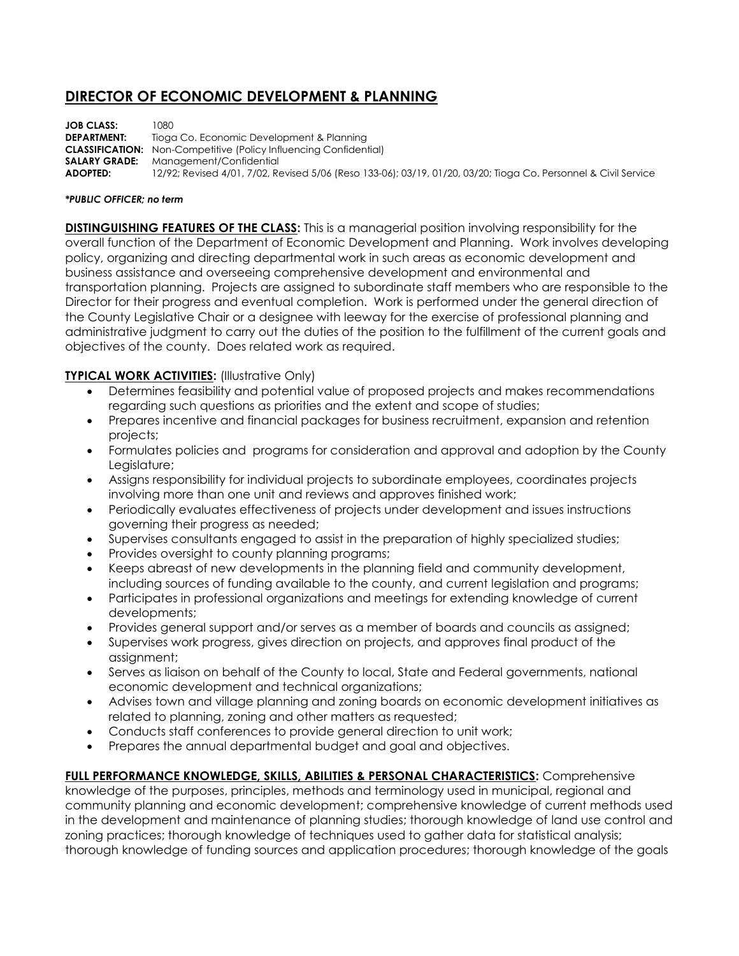## **DIRECTOR OF ECONOMIC DEVELOPMENT & PLANNING**

**JOB CLASS:** 1080 **DEPARTMENT:** Tioga Co. Economic Development & Planning **CLASSIFICATION:** Non-Competitive (Policy Influencing Confidential) **SALARY GRADE:** Management/Confidential **ADOPTED:** 12/92; Revised 4/01, 7/02, Revised 5/06 (Reso 133-06); 03/19, 01/20, 03/20; Tioga Co. Personnel & Civil Service

## *\*PUBLIC OFFICER; no term*

**DISTINGUISHING FEATURES OF THE CLASS:** This is a managerial position involving responsibility for the overall function of the Department of Economic Development and Planning. Work involves developing policy, organizing and directing departmental work in such areas as economic development and business assistance and overseeing comprehensive development and environmental and transportation planning. Projects are assigned to subordinate staff members who are responsible to the Director for their progress and eventual completion. Work is performed under the general direction of the County Legislative Chair or a designee with leeway for the exercise of professional planning and administrative judgment to carry out the duties of the position to the fulfillment of the current goals and objectives of the county. Does related work as required.

## **TYPICAL WORK ACTIVITIES: (Illustrative Only)**

- Determines feasibility and potential value of proposed projects and makes recommendations regarding such questions as priorities and the extent and scope of studies;
- Prepares incentive and financial packages for business recruitment, expansion and retention projects;
- Formulates policies and programs for consideration and approval and adoption by the County Legislature;
- Assigns responsibility for individual projects to subordinate employees, coordinates projects involving more than one unit and reviews and approves finished work;
- Periodically evaluates effectiveness of projects under development and issues instructions governing their progress as needed;
- Supervises consultants engaged to assist in the preparation of highly specialized studies;
- Provides oversight to county planning programs;
- Keeps abreast of new developments in the planning field and community development, including sources of funding available to the county, and current legislation and programs;
- Participates in professional organizations and meetings for extending knowledge of current developments;
- Provides general support and/or serves as a member of boards and councils as assigned;
- Supervises work progress, gives direction on projects, and approves final product of the assignment;
- Serves as liaison on behalf of the County to local, State and Federal governments, national economic development and technical organizations;
- Advises town and village planning and zoning boards on economic development initiatives as related to planning, zoning and other matters as requested;
- Conducts staff conferences to provide general direction to unit work;
- Prepares the annual departmental budget and goal and objectives.

**FULL PERFORMANCE KNOWLEDGE, SKILLS, ABILITIES & PERSONAL CHARACTERISTICS:** Comprehensive knowledge of the purposes, principles, methods and terminology used in municipal, regional and community planning and economic development; comprehensive knowledge of current methods used in the development and maintenance of planning studies; thorough knowledge of land use control and zoning practices; thorough knowledge of techniques used to gather data for statistical analysis; thorough knowledge of funding sources and application procedures; thorough knowledge of the goals